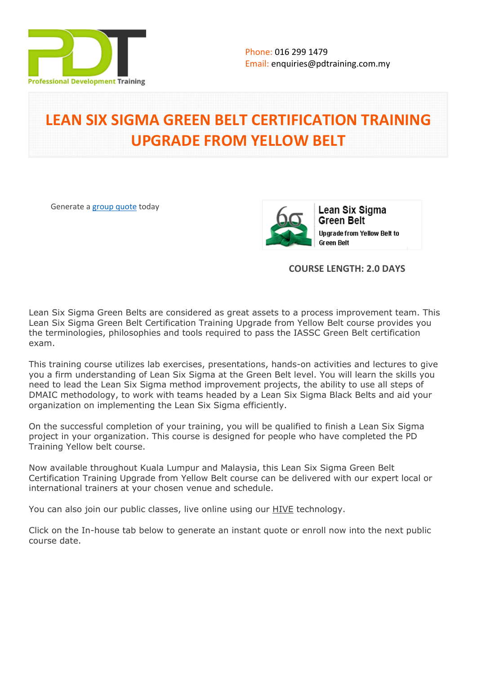

# **LEAN SIX SIGMA GREEN BELT CERTIFICATION TRAINING UPGRADE FROM YELLOW BELT**

Generate a [group quote](https://pdtraining.com.my/inhouse-training-quote?cse=YBGB) today



**COURSE LENGTH: 2.0 DAYS**

Lean Six Sigma Green Belts are considered as great assets to a process improvement team. This Lean Six Sigma Green Belt Certification Training Upgrade from Yellow Belt course provides you the terminologies, philosophies and tools required to pass the IASSC Green Belt certification exam.

This training course utilizes lab exercises, presentations, hands-on activities and lectures to give you a firm understanding of Lean Six Sigma at the Green Belt level. You will learn the skills you need to lead the Lean Six Sigma method improvement projects, the ability to use all steps of DMAIC methodology, to work with teams headed by a Lean Six Sigma Black Belts and aid your organization on implementing the Lean Six Sigma efficiently.

On the successful completion of your training, you will be qualified to finish a Lean Six Sigma project in your organization. This course is designed for people who have completed the PD Training Yellow belt course.

Now available throughout Kuala Lumpur and Malaysia, this Lean Six Sigma Green Belt Certification Training Upgrade from Yellow Belt course can be delivered with our expert local or international trainers at your chosen venue and schedule.

You can also join our public classes, live online using our HIVE technology.

Click on the In-house tab below to generate an instant quote or enroll now into the next public course date.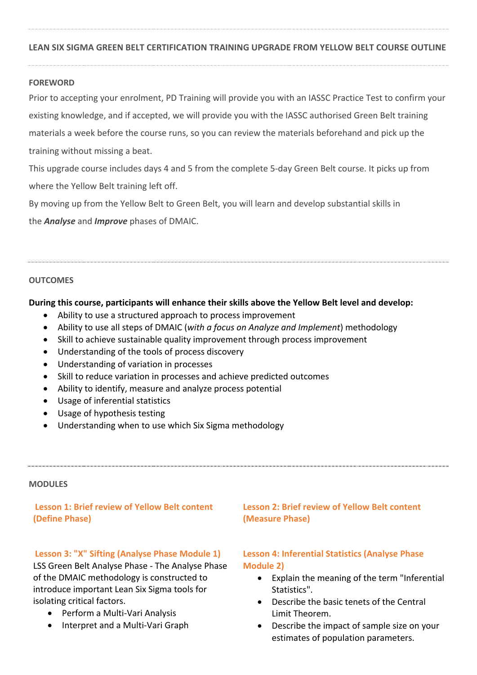#### **LEAN SIX SIGMA GREEN BELT CERTIFICATION TRAINING UPGRADE FROM YELLOW BELT COURSE OUTLINE**

#### **FOREWORD**

Prior to accepting your enrolment, PD Training will provide you with an IASSC Practice Test to confirm your existing knowledge, and if accepted, we will provide you with the IASSC authorised Green Belt training materials a week before the course runs, so you can review the materials beforehand and pick up the training without missing a beat.

This upgrade course includes days 4 and 5 from the complete 5-day Green Belt course. It picks up from where the Yellow Belt training left off.

By moving up from the Yellow Belt to Green Belt, you will learn and develop substantial skills in

the *Analyse* and *Improve* phases of DMAIC.

#### **OUTCOMES**

#### **During this course, participants will enhance their skills above the Yellow Belt level and develop:**

- Ability to use a structured approach to process improvement
- Ability to use all steps of DMAIC (*with a focus on Analyze and Implement*) methodology
- Skill to achieve sustainable quality improvement through process improvement
- Understanding of the tools of process discovery
- Understanding of variation in processes
- Skill to reduce variation in processes and achieve predicted outcomes
- Ability to identify, measure and analyze process potential
- Usage of inferential statistics
- Usage of hypothesis testing
- Understanding when to use which Six Sigma methodology

#### **MODULES**

#### **Lesson 1: Brief review of Yellow Belt content (Define Phase)**

# **Lesson 3: "X" Sifting (Analyse Phase Module 1)** LSS Green Belt Analyse Phase - The Analyse Phase of the DMAIC methodology is constructed to introduce important Lean Six Sigma tools for isolating critical factors.

- Perform a Multi-Vari Analysis
- Interpret and a Multi-Vari Graph

## **Lesson 2: Brief review of Yellow Belt content (Measure Phase)**

## **Lesson 4: Inferential Statistics (Analyse Phase Module 2)**

- Explain the meaning of the term "Inferential Statistics".
- Describe the basic tenets of the Central Limit Theorem.
- Describe the impact of sample size on your estimates of population parameters.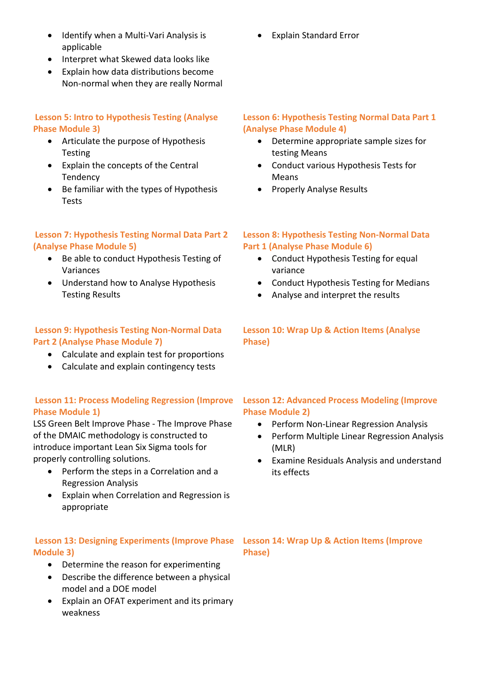- Identify when a Multi-Vari Analysis is applicable
- Interpret what Skewed data looks like
- Explain how data distributions become Non-normal when they are really Normal

# **Lesson 5: Intro to Hypothesis Testing (Analyse Phase Module 3)**

- Articulate the purpose of Hypothesis Testing
- Explain the concepts of the Central Tendency
- Be familiar with the types of Hypothesis Tests

# **Lesson 7: Hypothesis Testing Normal Data Part 2 (Analyse Phase Module 5)**

- Be able to conduct Hypothesis Testing of Variances
- Understand how to Analyse Hypothesis Testing Results

# **Lesson 9: Hypothesis Testing Non-Normal Data Part 2 (Analyse Phase Module 7)**

- Calculate and explain test for proportions
- Calculate and explain contingency tests

# **Lesson 11: Process Modeling Regression (Improve Phase Module 1)**

LSS Green Belt Improve Phase - The Improve Phase of the DMAIC methodology is constructed to introduce important Lean Six Sigma tools for properly controlling solutions.

- Perform the steps in a Correlation and a Regression Analysis
- Explain when Correlation and Regression is appropriate

# **Lesson 13: Designing Experiments (Improve Phase Module 3)**

- Determine the reason for experimenting
- Describe the difference between a physical model and a DOE model
- Explain an OFAT experiment and its primary weakness

Explain Standard Error

## **Lesson 6: Hypothesis Testing Normal Data Part 1 (Analyse Phase Module 4)**

- Determine appropriate sample sizes for testing Means
- Conduct various Hypothesis Tests for Means
- Properly Analyse Results

# **Lesson 8: Hypothesis Testing Non-Normal Data Part 1 (Analyse Phase Module 6)**

- Conduct Hypothesis Testing for equal variance
- Conduct Hypothesis Testing for Medians
- Analyse and interpret the results

# **Lesson 10: Wrap Up & Action Items (Analyse Phase)**

# **Lesson 12: Advanced Process Modeling (Improve Phase Module 2)**

- Perform Non-Linear Regression Analysis
- Perform Multiple Linear Regression Analysis (MLR)
- Examine Residuals Analysis and understand its effects

## **Lesson 14: Wrap Up & Action Items (Improve Phase)**